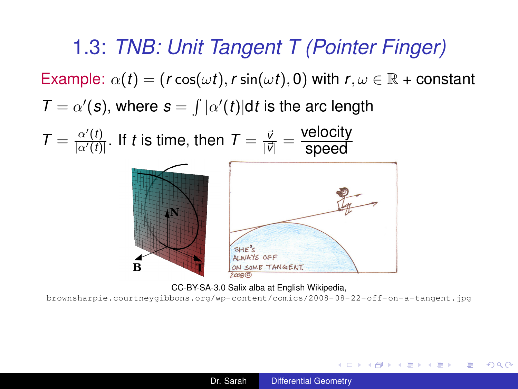<span id="page-0-0"></span>1.3: *TNB: Unit Tangent T (Pointer Finger)* Example:  $\alpha(t) = (r \cos(\omega t), r \sin(\omega t), 0)$  with  $r, \omega \in \mathbb{R}$  + constant  $\mathcal{T} = \alpha'(\mathbf{s})$ , where  $\mathbf{s} = \int |\alpha'(t)| dt$  is the arc length  $\mathcal{T} = \frac{\alpha'(t)}{|\alpha'(t)|}$  $\frac{\alpha'(t)}{|\alpha'(t)|}.$  If  $t$  is time, then  $\mathcal{T} = \frac{\bar{\nu}}{|\bar{\nu}|}$  $\frac{\vec{v}}{|\vec{v}|} = \frac{\text{velocity}}{\text{speed}}$ speed



CC-BY-SA-3.0 Salix alba at English Wikipedia,

<brownsharpie.courtneygibbons.org/wp-content/comics/2008-08-22-off-on-a-tangent.jpg>

メロメメ 御き メモメメモメー

÷.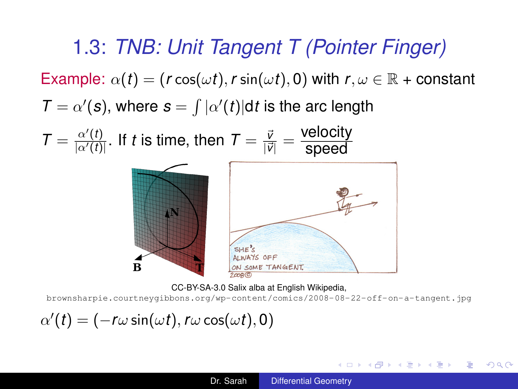1.3: *TNB: Unit Tangent T (Pointer Finger)* Example:  $\alpha(t) = (r \cos(\omega t), r \sin(\omega t), 0)$  with  $r, \omega \in \mathbb{R}$  + constant  $\mathcal{T} = \alpha'(\mathbf{s})$ , where  $\mathbf{s} = \int |\alpha'(t)| dt$  is the arc length  $\mathcal{T} = \frac{\alpha'(t)}{|\alpha'(t)|}$  $\frac{\alpha'(t)}{|\alpha'(t)|}.$  If  $t$  is time, then  $\mathcal{T} = \frac{\bar{\nu}}{|\bar{\nu}|}$  $\frac{\vec{v}}{|\vec{v}|} = \frac{\text{velocity}}{\text{speed}}$ speed



CC-BY-SA-3.0 Salix alba at English Wikipedia,

<brownsharpie.courtneygibbons.org/wp-content/comics/2008-08-22-off-on-a-tangent.jpg>

 $\alpha'(t) = (-r\omega \sin(\omega t), r\omega \cos(\omega t), 0)$ 

イロト イ押 トイヨ トイヨ トーヨー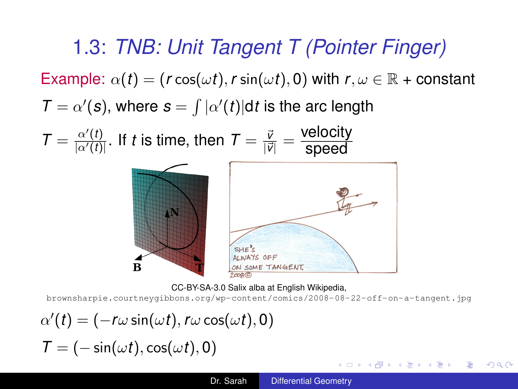1.3: *TNB: Unit Tangent T (Pointer Finger)* Example:  $\alpha(t) = (r \cos(\omega t), r \sin(\omega t), 0)$  with  $r, \omega \in \mathbb{R}$  + constant  $\mathcal{T} = \alpha'(\mathbf{s})$ , where  $\mathbf{s} = \int |\alpha'(t)| dt$  is the arc length  $\mathcal{T} = \frac{\alpha'(t)}{|\alpha'(t)|}$  $\frac{\alpha'(t)}{|\alpha'(t)|}.$  If  $t$  is time, then  $\mathcal{T} = \frac{\bar{\nu}}{|\bar{\nu}|}$  $\frac{\vec{v}}{|\vec{v}|} = \frac{\text{velocity}}{\text{speed}}$ 



CC-BY-SA-3.0 Salix alba at English Wikipedia,

<brownsharpie.courtneygibbons.org/wp-content/comics/2008-08-22-off-on-a-tangent.jpg>

$$
\alpha'(t) = (-r\omega \sin(\omega t), r\omega \cos(\omega t), 0)
$$

$$
T = (-\sin(\omega t), \cos(\omega t), 0)
$$

メロメメ 御き メモメメモメー

÷.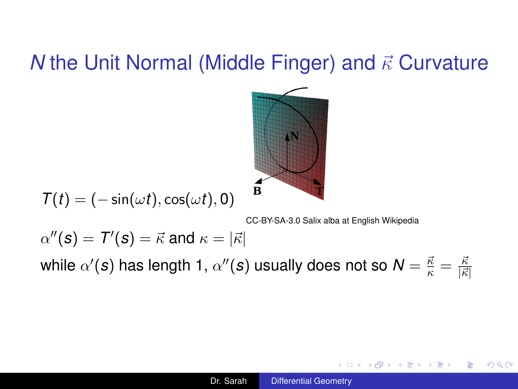

$$
T(t)=(-\sin(\omega t),\cos(\omega t),0)
$$

CC-BY-SA-3.0 Salix alba at English Wikipedia

4 0 8

4 何 > 4 日 > 4 日 > 1 日 + 9 Q Q

$$
\alpha''(\mathbf{s}) = T'(\mathbf{s}) = \vec{\kappa} \text{ and } \kappa = |\vec{\kappa}|
$$

while  $\alpha'(\bm{s})$  has length 1,  $\alpha''(\bm{s})$  usually does not so  $\bm{N}=\frac{\vec{\kappa}}{\kappa}=\frac{\vec{\kappa}}{|\vec{\kappa}|}$  $|\vec{\kappa}|$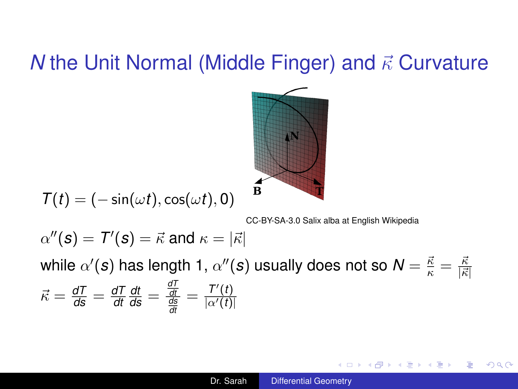

$$
T(t)=(-\sin(\omega t),\cos(\omega t),0)
$$

CC-BY-SA-3.0 Salix alba at English Wikipedia

KED KAP KED KED E YORO

 $\alpha''(\mathcal{s}) = \mathcal{T}'(\mathcal{s}) = \vec{\kappa}$  and  $\kappa = |\vec{\kappa}|$ 

while  $\alpha'(\bm{s})$  has length 1,  $\alpha''(\bm{s})$  usually does not so  $\bm{N}=\frac{\vec{\kappa}}{\kappa}=\frac{\vec{\kappa}}{|\vec{\kappa}|}$  $|\vec{\kappa}|$  $\vec{\kappa} = \frac{dT}{ds} = \frac{dT}{dt}$ *dt*  $\frac{dt}{ds} = \frac{\frac{dT}{dt}}{\frac{ds}{dt}} = \frac{T'(t)}{|\alpha'(t)|}$  $|\alpha'(t)|$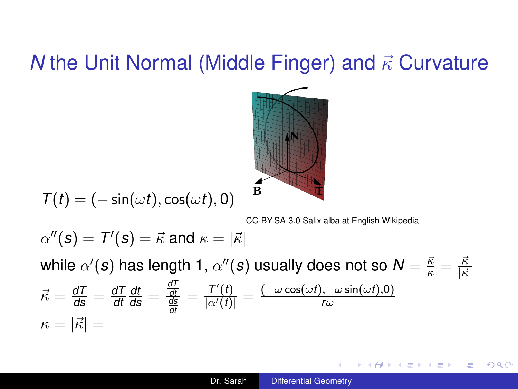

$$
T(t)=(-\sin(\omega t),\cos(\omega t),0)
$$

CC-BY-SA-3.0 Salix alba at English Wikipedia

KOD KAP KED KED E LORO

 $\alpha''(\mathcal{s}) = \mathcal{T}'(\mathcal{s}) = \vec{\kappa}$  and  $\kappa = |\vec{\kappa}|$ 

while  $\alpha'(\bm{s})$  has length 1,  $\alpha''(\bm{s})$  usually does not so  $\bm{N}=\frac{\vec{\kappa}}{\kappa}=\frac{\vec{\kappa}}{|\vec{\kappa}|}$  $|\vec{\kappa}|$  $\vec{\kappa} = \frac{dT}{ds} = \frac{dT}{dt}$ *dt*  $\frac{dt}{ds} = \frac{\frac{dT}{dt}}{\frac{ds}{dt}} = \frac{T'(t)}{|\alpha'(t)|} = \frac{(-\omega \cos(\omega t), -\omega \sin(\omega t),0)}{r \omega}$ *dt r*ω  $\kappa = |\vec{\kappa}| =$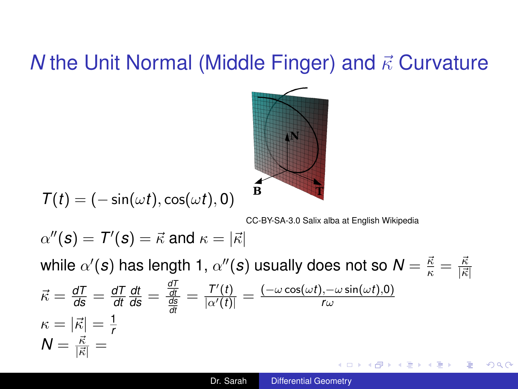

$$
T(t)=(-\sin(\omega t),\cos(\omega t),0)
$$

CC-BY-SA-3.0 Salix alba at English Wikipedia

 $\alpha''(\mathcal{s}) = \mathcal{T}'(\mathcal{s}) = \vec{\kappa}$  and  $\kappa = |\vec{\kappa}|$ 

while  $\alpha'(\bm{s})$  has length 1,  $\alpha''(\bm{s})$  usually does not so  $\bm{N}=\frac{\vec{\kappa}}{\kappa}=\frac{\vec{\kappa}}{|\vec{\kappa}|}$  $|\vec{\kappa}|$  $\frac{dt}{ds} = \frac{\frac{dT}{dt}}{\frac{ds}{dt}} = \frac{T'(t)}{|\alpha'(t)|} = \frac{(-\omega \cos(\omega t), -\omega \sin(\omega t),0)}{r \omega}$  $\vec{\kappa} = \frac{dT}{ds} = \frac{dT}{dt}$ *dt r*ω *dt*  $\kappa = |\vec{\kappa}| = \frac{1}{r}$ *r*  $N=\frac{\vec{\kappa}}{|\vec{\kappa}|}=$ KED KAP KED KED E YORO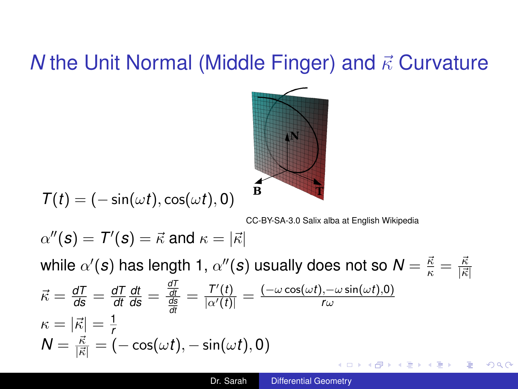

$$
T(t)=(-\sin(\omega t),\cos(\omega t),0)
$$

CC-BY-SA-3.0 Salix alba at English Wikipedia

 $QQ$ 

 $\alpha''(\mathcal{s}) = \mathcal{T}'(\mathcal{s}) = \vec{\kappa}$  and  $\kappa = |\vec{\kappa}|$ 

while  $\alpha'(\bm{s})$  has length 1,  $\alpha''(\bm{s})$  usually does not so  $\bm{N}=\frac{\vec{\kappa}}{\kappa}=\frac{\vec{\kappa}}{|\vec{\kappa}|}$  $|\vec{\kappa}|$  $\frac{dt}{d\mathsf{s}} = \frac{\frac{d\mathsf{T}}{dt}}{\frac{d\mathsf{s}}{dt}} = \frac{\mathsf{T}'(t)}{|\alpha'(t)|} = \frac{(-\omega \cos(\omega t), -\omega \sin(\omega t),0)}{r\omega}$  $\vec{\kappa} = \frac{dT}{ds} = \frac{dT}{dt}$ *dt r*ω  $\kappa = |\vec{\kappa}| = \frac{1}{r}$ *r*  $\mathcal{N} = \frac{\vec{\kappa}}{|\vec{\kappa}|} = (-\cos(\omega t), -\sin(\omega t), 0)$ イ押 トメミ トメミ トーミ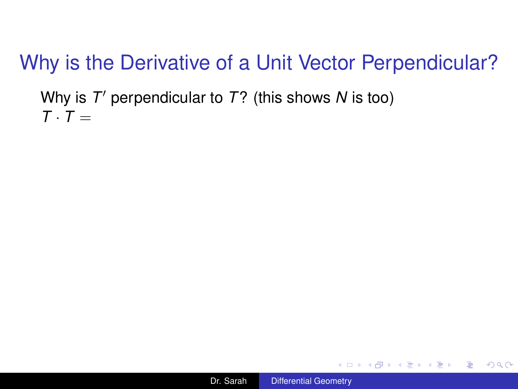Why is T' perpendicular to T? (this shows N is too)  $T \cdot T =$ 



 $\equiv$   $\Omega Q$ 

K 何 ▶ K ヨ ▶ K ヨ ▶ ...

4 0 8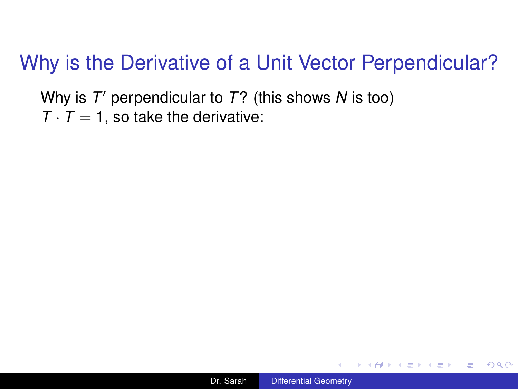Why is T' perpendicular to T? (this shows N is too)  $T \cdot T = 1$ , so take the derivative:



K 何 ト K ヨ ト K ヨ ト

÷.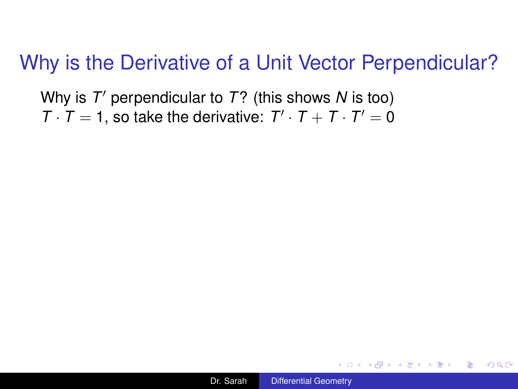Why is T' perpendicular to T? (this shows N is too)  $T \cdot T = 1$ , so take the derivative:  $T' \cdot T + T \cdot T' = 0$ 

K 何 ト K ヨ ト K ヨ ト

÷.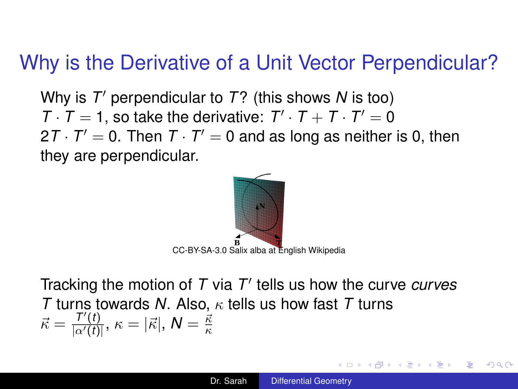Why is T' perpendicular to T? (this shows N is too)  $T \cdot T = 1$ , so take the derivative:  $T' \cdot T + T \cdot T' = 0$ 2 $T \cdot T' = 0$ . Then  $T \cdot T' = 0$  and as long as neither is 0, then they are perpendicular.



Tracking the motion of T via T' tells us how the curve *curves T* turns towards *N*. Also, κ tells us how fast *T* turns  $\vec{\kappa} = \frac{T'(t)}{|\alpha'(t)|}$  $\frac{I'(t)}{|\alpha'(t)|},\,\kappa=|\vec{\kappa}|,\,\pmb{N}=\frac{\vec{\kappa}}{\kappa}$ κ

4 ロ ) (何 ) (日 ) (日 )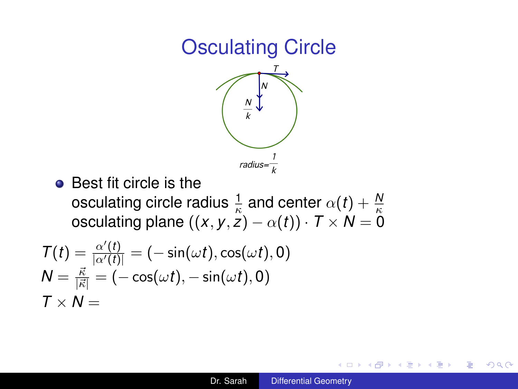## Osculating Circle



• Best fit circle is the  $\alpha$  osculating circle radius  $\frac{1}{\kappa}$  and center  $\alpha(t) + \frac{N}{\kappa}$ <br>osculating plane  $((x,y,z)-\alpha(t))\cdot T\times N=0$ 

$$
T(t) = \frac{\alpha'(t)}{|\alpha'(t)|} = (-\sin(\omega t), \cos(\omega t), 0)
$$
  

$$
N = \frac{\vec{\kappa}}{|\vec{\kappa}|} = (-\cos(\omega t), -\sin(\omega t), 0)
$$
  

$$
T \times N =
$$

B

頂き

同 ▶ ◀ ヨ ▶ ◀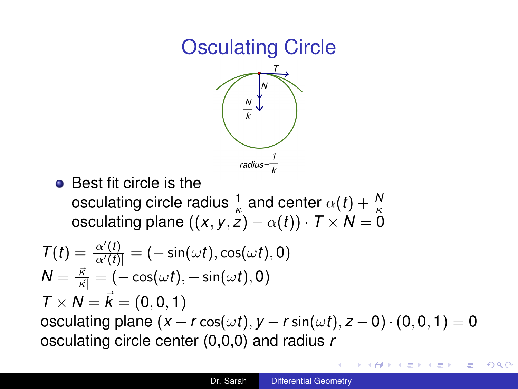# Osculating Circle



• Best fit circle is the  $\alpha$  osculating circle radius  $\frac{1}{\kappa}$  and center  $\alpha(t) + \frac{N}{\kappa}$ <br>osculating plane  $((x,y,z)-\alpha(t))\cdot T\times N=0$ 

$$
T(t) = \frac{\alpha'(t)}{|\alpha'(t)|} = (-\sin(\omega t), \cos(\omega t), 0)
$$
  
\n
$$
N = \frac{\vec{\kappa}}{|\vec{\kappa}|} = (-\cos(\omega t), -\sin(\omega t), 0)
$$
  
\n
$$
T \times N = \vec{k} = (0, 0, 1)
$$
  
\nosculating plane  $(x - r \cos(\omega t), y - r \sin(\omega t), z - 0) \cdot (0, 0, 1) = 0$   
\nosculating circle center (0,0,0) and radius  $r$ 

B

重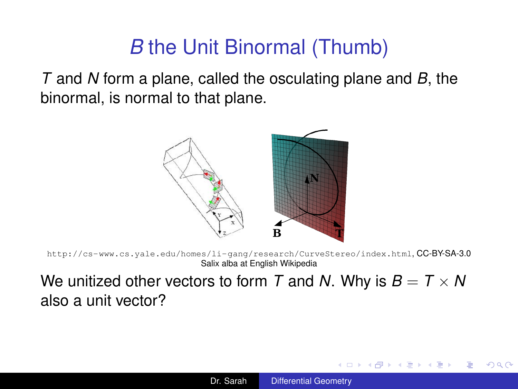## *B* the Unit Binormal (Thumb)

*T* and *N* form a plane, called the osculating plane and *B*, the binormal, is normal to that plane.



<http://cs-www.cs.yale.edu/homes/li-gang/research/CurveStereo/index.html>, CC-BY-SA-3.0 Salix alba at English Wikipedia

We unitized other vectors to form *T* and *N*. Why is  $B = T \times N$ also a unit vector?

**K ロ ⊁ K 伊 ⊁ K ヨ ⊁**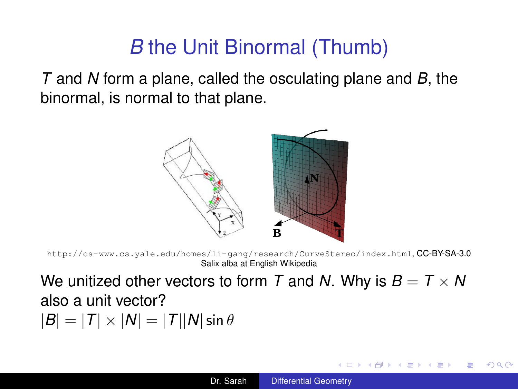# *B* the Unit Binormal (Thumb)

*T* and *N* form a plane, called the osculating plane and *B*, the binormal, is normal to that plane.



<http://cs-www.cs.yale.edu/homes/li-gang/research/CurveStereo/index.html>, CC-BY-SA-3.0 Salix alba at English Wikipedia

We unitized other vectors to form *T* and *N*. Why is  $B = T \times N$ also a unit vector?  $|B| = |T| \times |N| = |T||N| \sin \theta$ 

**≮ロト ⊀ 何 ト ⊀ ヨ ト ⊀ ヨ ト**